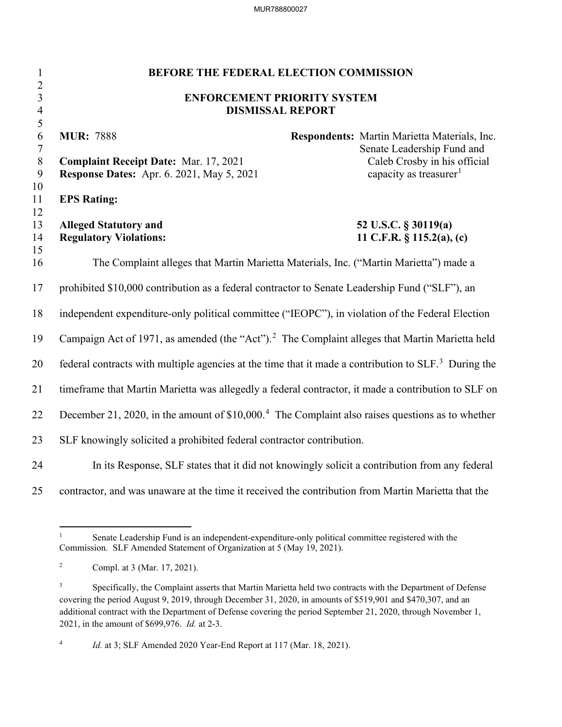MUR788800027

| $\mathbf{1}$                     | <b>BEFORE THE FEDERAL ELECTION COMMISSION</b>                                                                    |                                                                            |  |  |  |
|----------------------------------|------------------------------------------------------------------------------------------------------------------|----------------------------------------------------------------------------|--|--|--|
| $\overline{2}$<br>$\mathfrak{Z}$ | <b>ENFORCEMENT PRIORITY SYSTEM</b>                                                                               |                                                                            |  |  |  |
| $\overline{4}$                   | <b>DISMISSAL REPORT</b>                                                                                          |                                                                            |  |  |  |
| 5                                |                                                                                                                  |                                                                            |  |  |  |
| 6<br>7                           | <b>MUR: 7888</b>                                                                                                 | Respondents: Martin Marietta Materials, Inc.<br>Senate Leadership Fund and |  |  |  |
| $8\,$                            | <b>Complaint Receipt Date: Mar. 17, 2021</b>                                                                     | Caleb Crosby in his official                                               |  |  |  |
| 9                                | <b>Response Dates:</b> Apr. 6. 2021, May 5, 2021                                                                 | capacity as treasurer <sup>1</sup>                                         |  |  |  |
| 10<br>11                         | <b>EPS Rating:</b>                                                                                               |                                                                            |  |  |  |
| 12<br>13                         | <b>Alleged Statutory and</b>                                                                                     | 52 U.S.C. § 30119(a)                                                       |  |  |  |
| 14                               | <b>Regulatory Violations:</b>                                                                                    | 11 C.F.R. $\S$ 115.2(a), (c)                                               |  |  |  |
| 15                               |                                                                                                                  |                                                                            |  |  |  |
| 16                               | The Complaint alleges that Martin Marietta Materials, Inc. ("Martin Marietta") made a                            |                                                                            |  |  |  |
| 17                               | prohibited \$10,000 contribution as a federal contractor to Senate Leadership Fund ("SLF"), an                   |                                                                            |  |  |  |
| 18                               | independent expenditure-only political committee ("IEOPC"), in violation of the Federal Election                 |                                                                            |  |  |  |
| 19                               | Campaign Act of 1971, as amended (the "Act"). <sup>2</sup> The Complaint alleges that Martin Marietta held       |                                                                            |  |  |  |
| 20                               | federal contracts with multiple agencies at the time that it made a contribution to SLF. <sup>3</sup> During the |                                                                            |  |  |  |
| 21                               | timeframe that Martin Marietta was allegedly a federal contractor, it made a contribution to SLF on              |                                                                            |  |  |  |
| 22                               | December 21, 2020, in the amount of $$10,000.4$ The Complaint also raises questions as to whether                |                                                                            |  |  |  |
| 23                               | SLF knowingly solicited a prohibited federal contractor contribution.                                            |                                                                            |  |  |  |
| 24                               | In its Response, SLF states that it did not knowingly solicit a contribution from any federal                    |                                                                            |  |  |  |
| 25                               | contractor, and was unaware at the time it received the contribution from Martin Marietta that the               |                                                                            |  |  |  |

<sup>1</sup> Senate Leadership Fund is an independent-expenditure-only political committee registered with the Commission. SLF Amended Statement of Organization at 5 (May 19, 2021).

<sup>2</sup> Compl. at 3 (Mar. 17, 2021).

<sup>3</sup> Specifically, the Complaint asserts that Martin Marietta held two contracts with the Department of Defense covering the period August 9, 2019, through December 31, 2020, in amounts of \$519,901 and \$470,307, and an additional contract with the Department of Defense covering the period September 21, 2020, through November 1, 2021, in the amount of \$699,976. *Id.* at 2-3.

<sup>4</sup> *Id.* at 3; SLF Amended 2020 Year-End Report at 117 (Mar. 18, 2021).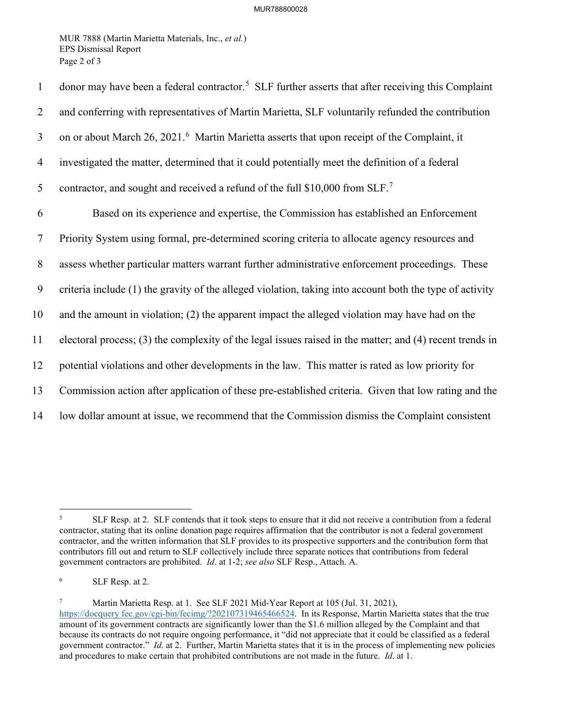MUR 7888 (Martin Marietta Materials, Inc., *et al.*) EPS Dismissal Report Page 2 of 3

| $\mathbf{1}$   | donor may have been a federal contractor. <sup>5</sup> SLF further asserts that after receiving this Complaint |
|----------------|----------------------------------------------------------------------------------------------------------------|
| 2              | and conferring with representatives of Martin Marietta, SLF voluntarily refunded the contribution              |
| $\mathfrak{Z}$ | on or about March 26, 2021. <sup>6</sup> Martin Marietta asserts that upon receipt of the Complaint, it        |
| $\overline{4}$ | investigated the matter, determined that it could potentially meet the definition of a federal                 |
| 5              | contractor, and sought and received a refund of the full \$10,000 from SLF. <sup>7</sup>                       |
| 6              | Based on its experience and expertise, the Commission has established an Enforcement                           |
| $\tau$         | Priority System using formal, pre-determined scoring criteria to allocate agency resources and                 |
| 8              | assess whether particular matters warrant further administrative enforcement proceedings. These                |
| 9              | criteria include (1) the gravity of the alleged violation, taking into account both the type of activity       |
| 10             | and the amount in violation; (2) the apparent impact the alleged violation may have had on the                 |
| 11             | electoral process; (3) the complexity of the legal issues raised in the matter; and (4) recent trends in       |
| 12             | potential violations and other developments in the law. This matter is rated as low priority for               |
| 13             | Commission action after application of these pre-established criteria. Given that low rating and the           |
| 14             | low dollar amount at issue, we recommend that the Commission dismiss the Complaint consistent                  |

7 Martin Marietta Resp. at 1. See SLF 2021 Mid-Year Report at 105 (Jul. 31, 2021),

<sup>5</sup> SLF Resp. at 2. SLF contends that it took steps to ensure that it did not receive a contribution from a federal contractor, stating that its online donation page requires affirmation that the contributor is not a federal government contractor, and the written information that SLF provides to its prospective supporters and the contribution form that contributors fill out and return to SLF collectively include three separate notices that contributions from federal government contractors are prohibited. *Id*. at 1-2; *see also* SLF Resp., Attach. A.

<sup>6</sup> SLF Resp. at 2.

https://docquery fec.gov/cgi-bin/fecimg/?202107319465466524. In its Response, Martin Marietta states that the true amount of its government contracts are significantly lower than the \$1.6 million alleged by the Complaint and that because its contracts do not require ongoing performance, it "did not appreciate that it could be classified as a federal government contractor." *Id*. at 2. Further, Martin Marietta states that it is in the process of implementing new policies and procedures to make certain that prohibited contributions are not made in the future. *Id*. at 1.